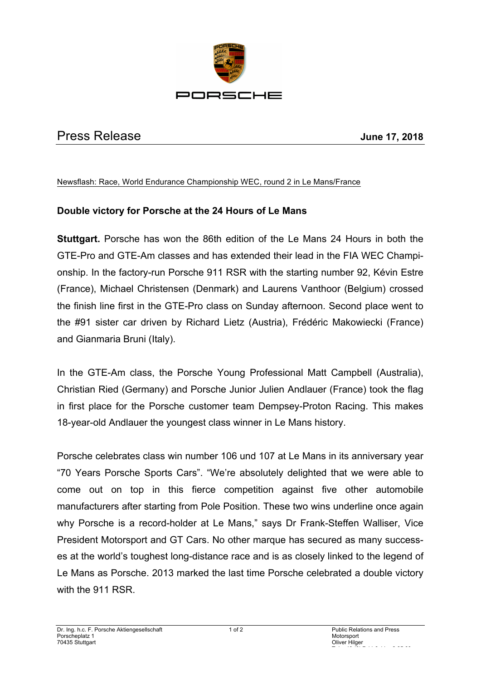

## Press Release **June 17, 2018**

## Newsflash: Race, World Endurance Championship WEC, round 2 in Le Mans/France

## **Double victory for Porsche at the 24 Hours of Le Mans**

**Stuttgart.** Porsche has won the 86th edition of the Le Mans 24 Hours in both the GTE-Pro and GTE-Am classes and has extended their lead in the FIA WEC Championship. In the factory-run Porsche 911 RSR with the starting number 92, Kévin Estre (France), Michael Christensen (Denmark) and Laurens Vanthoor (Belgium) crossed the finish line first in the GTE-Pro class on Sunday afternoon. Second place went to the #91 sister car driven by Richard Lietz (Austria), Frédéric Makowiecki (France) and Gianmaria Bruni (Italy).

In the GTE-Am class, the Porsche Young Professional Matt Campbell (Australia), Christian Ried (Germany) and Porsche Junior Julien Andlauer (France) took the flag in first place for the Porsche customer team Dempsey-Proton Racing. This makes 18-year-old Andlauer the youngest class winner in Le Mans history.

Porsche celebrates class win number 106 und 107 at Le Mans in its anniversary year "70 Years Porsche Sports Cars". "We're absolutely delighted that we were able to come out on top in this fierce competition against five other automobile manufacturers after starting from Pole Position. These two wins underline once again why Porsche is a record-holder at Le Mans," says Dr Frank-Steffen Walliser, Vice President Motorsport and GT Cars. No other marque has secured as many successes at the world's toughest long-distance race and is as closely linked to the legend of Le Mans as Porsche. 2013 marked the last time Porsche celebrated a double victory with the 911 RSR